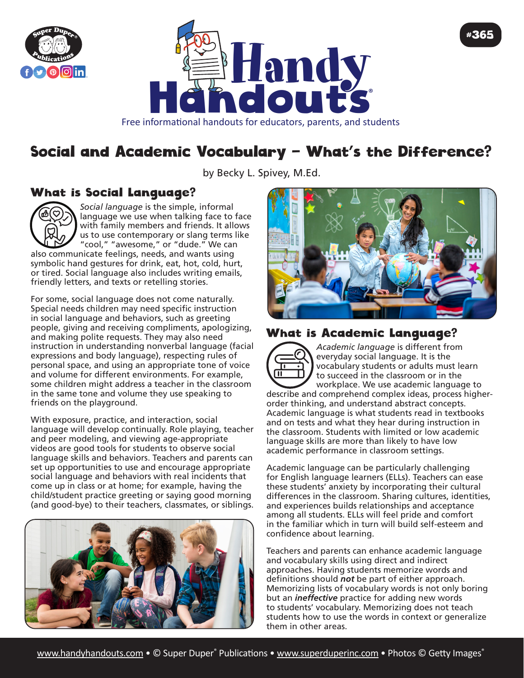



# Social and Academic Vocabulary — What's the Difference?

by Becky L. Spivey, M.Ed.

#### What is Social Language?



*Social language* is the simple, informal language we use when talking face to face with family members and friends. It allows us to use contemporary or slang terms like "cool," "awesome," or "dude." We can

also communicate feelings, needs, and wants using symbolic hand gestures for drink, eat, hot, cold, hurt, or tired. Social language also includes writing emails, friendly letters, and texts or retelling stories.

For some, social language does not come naturally. Special needs children may need specific instruction in social language and behaviors, such as greeting people, giving and receiving compliments, apologizing, and making polite requests. They may also need instruction in understanding nonverbal language (facial expressions and body language), respecting rules of personal space, and using an appropriate tone of voice and volume for different environments. For example, some children might address a teacher in the classroom in the same tone and volume they use speaking to friends on the playground.

With exposure, practice, and interaction, social language will develop continually. Role playing, teacher and peer modeling, and viewing age-appropriate videos are good tools for students to observe social language skills and behaviors. Teachers and parents can set up opportunities to use and encourage appropriate social language and behaviors with real incidents that come up in class or at home; for example, having the child/student practice greeting or saying good morning (and good-bye) to their teachers, classmates, or siblings.





#365

#### What is Academic Language?



*Academic language* is different from everyday social language. It is the vocabulary students or adults must learn to succeed in the classroom or in the workplace. We use academic language to

describe and comprehend complex ideas, process higherorder thinking, and understand abstract concepts. Academic language is what students read in textbooks and on tests and what they hear during instruction in the classroom. Students with limited or low academic language skills are more than likely to have low academic performance in classroom settings.

Academic language can be particularly challenging for English language learners (ELLs). Teachers can ease these students' anxiety by incorporating their cultural differences in the classroom. Sharing cultures, identities, and experiences builds relationships and acceptance among all students. ELLs will feel pride and comfort in the familiar which in turn will build self-esteem and confidence about learning.

Teachers and parents can enhance academic language and vocabulary skills using direct and indirect approaches. Having students memorize words and definitions should *not* be part of either approach. Memorizing lists of vocabulary words is not only boring but an *ineffective* practice for adding new words to students' vocabulary. Memorizing does not teach students how to use the words in context or generalize them in other areas.